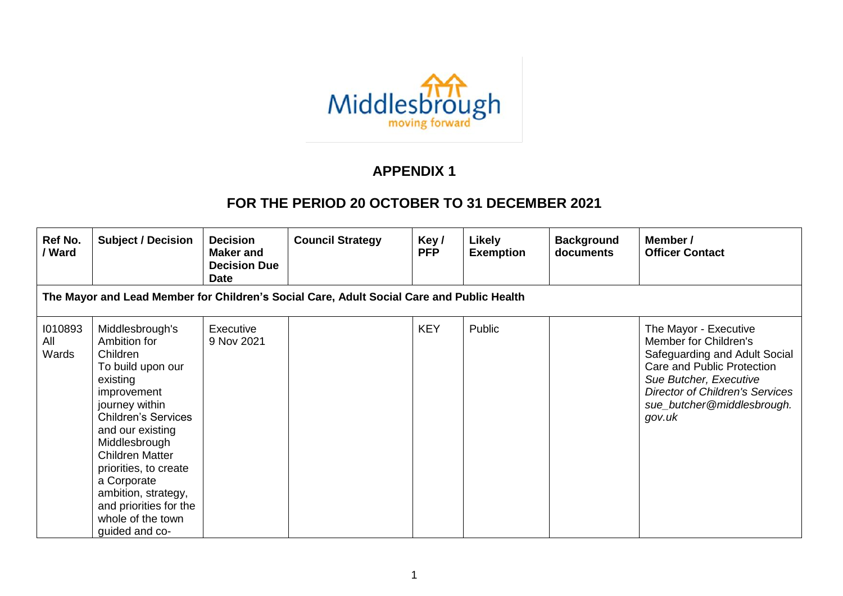

## **APPENDIX 1**

## **FOR THE PERIOD 20 OCTOBER TO 31 DECEMBER 2021**

| Ref No.<br>/ Ward       | <b>Subject / Decision</b>                                                                                                                                                                                                                                                                                                                  | <b>Decision</b><br><b>Maker and</b><br><b>Decision Due</b><br><b>Date</b> | <b>Council Strategy</b> | Key/<br><b>PFP</b> | <b>Likely</b><br><b>Exemption</b> | <b>Background</b><br>documents | Member /<br><b>Officer Contact</b>                                                                                                                                                                                        |  |  |  |  |
|-------------------------|--------------------------------------------------------------------------------------------------------------------------------------------------------------------------------------------------------------------------------------------------------------------------------------------------------------------------------------------|---------------------------------------------------------------------------|-------------------------|--------------------|-----------------------------------|--------------------------------|---------------------------------------------------------------------------------------------------------------------------------------------------------------------------------------------------------------------------|--|--|--|--|
|                         | The Mayor and Lead Member for Children's Social Care, Adult Social Care and Public Health                                                                                                                                                                                                                                                  |                                                                           |                         |                    |                                   |                                |                                                                                                                                                                                                                           |  |  |  |  |
| 1010893<br>All<br>Wards | Middlesbrough's<br>Ambition for<br>Children<br>To build upon our<br>existing<br>improvement<br>journey within<br><b>Children's Services</b><br>and our existing<br>Middlesbrough<br><b>Children Matter</b><br>priorities, to create<br>a Corporate<br>ambition, strategy,<br>and priorities for the<br>whole of the town<br>quided and co- | Executive<br>9 Nov 2021                                                   |                         | <b>KEY</b>         | Public                            |                                | The Mayor - Executive<br>Member for Children's<br>Safeguarding and Adult Social<br>Care and Public Protection<br>Sue Butcher, Executive<br><b>Director of Children's Services</b><br>sue_butcher@middlesbrough.<br>gov.uk |  |  |  |  |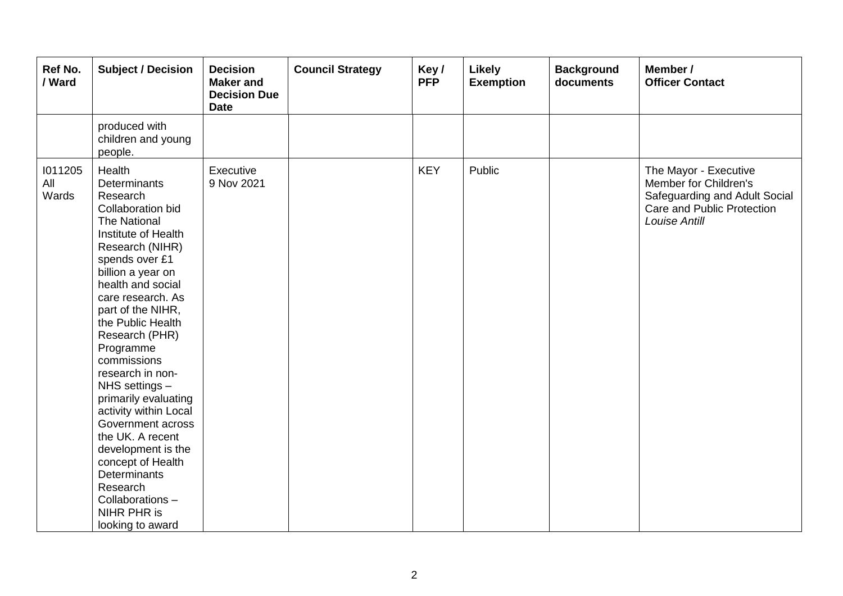| Ref No.<br>/ Ward       | <b>Subject / Decision</b>                                                                                                                                                                                                                                                                                                                                                                                                                                                                                                                                                    | <b>Decision</b><br><b>Maker</b> and<br><b>Decision Due</b><br><b>Date</b> | <b>Council Strategy</b> | Key/<br><b>PFP</b> | <b>Likely</b><br><b>Exemption</b> | <b>Background</b><br>documents | Member /<br><b>Officer Contact</b>                                                                                                    |
|-------------------------|------------------------------------------------------------------------------------------------------------------------------------------------------------------------------------------------------------------------------------------------------------------------------------------------------------------------------------------------------------------------------------------------------------------------------------------------------------------------------------------------------------------------------------------------------------------------------|---------------------------------------------------------------------------|-------------------------|--------------------|-----------------------------------|--------------------------------|---------------------------------------------------------------------------------------------------------------------------------------|
|                         | produced with<br>children and young<br>people.                                                                                                                                                                                                                                                                                                                                                                                                                                                                                                                               |                                                                           |                         |                    |                                   |                                |                                                                                                                                       |
| 1011205<br>All<br>Wards | Health<br>Determinants<br>Research<br><b>Collaboration bid</b><br><b>The National</b><br>Institute of Health<br>Research (NIHR)<br>spends over £1<br>billion a year on<br>health and social<br>care research. As<br>part of the NIHR,<br>the Public Health<br>Research (PHR)<br>Programme<br>commissions<br>research in non-<br>NHS settings -<br>primarily evaluating<br>activity within Local<br>Government across<br>the UK. A recent<br>development is the<br>concept of Health<br><b>Determinants</b><br>Research<br>Collaborations-<br>NIHR PHR is<br>looking to award | Executive<br>9 Nov 2021                                                   |                         | <b>KEY</b>         | Public                            |                                | The Mayor - Executive<br>Member for Children's<br>Safeguarding and Adult Social<br>Care and Public Protection<br><b>Louise Antill</b> |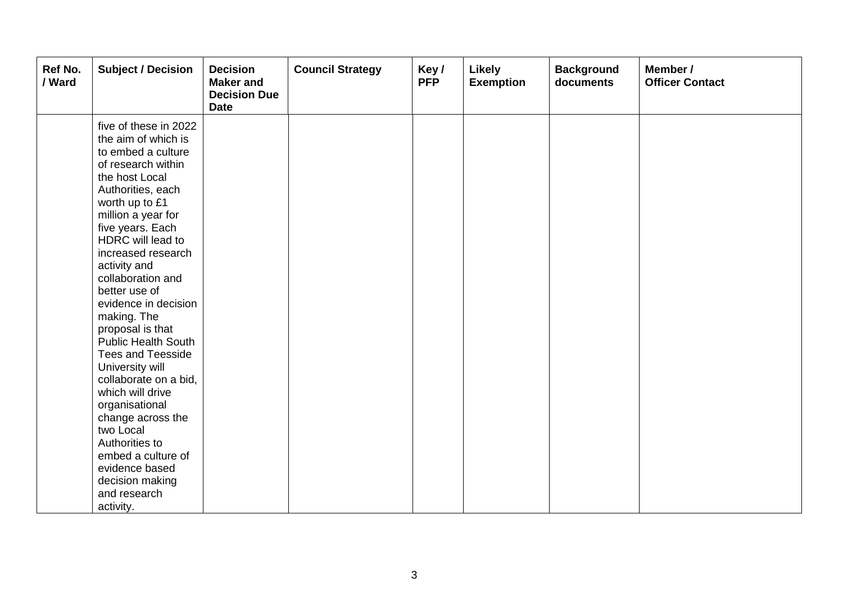| Ref No.<br>/ Ward | <b>Subject / Decision</b>                                                                                                                                                                                                                                                                                                                                                                                                                                                                                                | <b>Decision</b><br><b>Maker</b> and<br><b>Decision Due</b><br><b>Date</b> | <b>Council Strategy</b> | Key/<br><b>PFP</b> | Likely<br><b>Exemption</b> | <b>Background</b><br>documents | Member /<br><b>Officer Contact</b> |
|-------------------|--------------------------------------------------------------------------------------------------------------------------------------------------------------------------------------------------------------------------------------------------------------------------------------------------------------------------------------------------------------------------------------------------------------------------------------------------------------------------------------------------------------------------|---------------------------------------------------------------------------|-------------------------|--------------------|----------------------------|--------------------------------|------------------------------------|
|                   | five of these in 2022<br>the aim of which is<br>to embed a culture<br>of research within<br>the host Local<br>Authorities, each<br>worth up to £1<br>million a year for<br>five years. Each<br>HDRC will lead to<br>increased research<br>activity and<br>collaboration and<br>better use of<br>evidence in decision<br>making. The<br>proposal is that<br><b>Public Health South</b><br><b>Tees and Teesside</b><br>University will<br>collaborate on a bid,<br>which will drive<br>organisational<br>change across the |                                                                           |                         |                    |                            |                                |                                    |
|                   | two Local<br>Authorities to<br>embed a culture of<br>evidence based<br>decision making<br>and research<br>activity.                                                                                                                                                                                                                                                                                                                                                                                                      |                                                                           |                         |                    |                            |                                |                                    |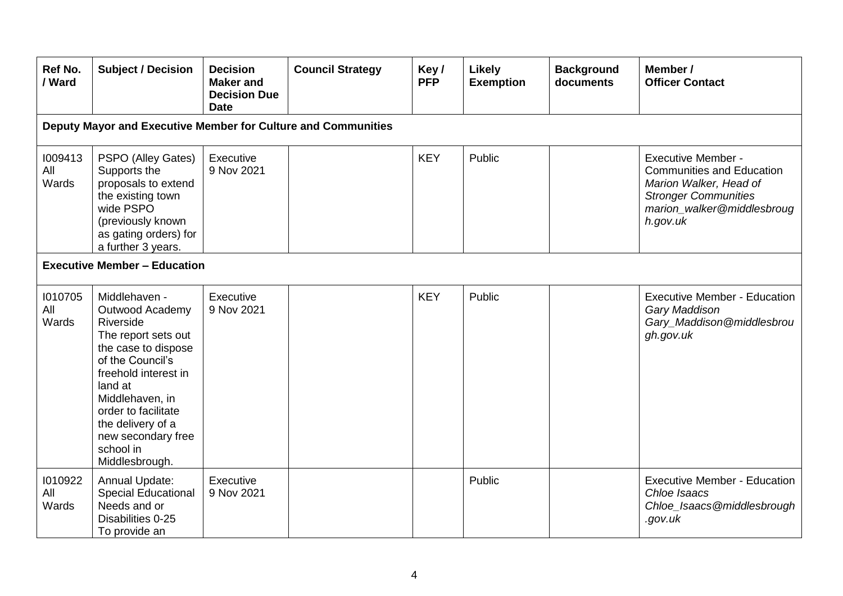| Ref No.<br>/ Ward       | <b>Subject / Decision</b>                                                                                                                                                                                                                                              | <b>Decision</b><br><b>Maker and</b><br><b>Decision Due</b><br><b>Date</b> | <b>Council Strategy</b> | Key/<br><b>PFP</b> | Likely<br><b>Exemption</b> | <b>Background</b><br>documents | Member /<br><b>Officer Contact</b>                                                                                                                               |  |  |  |  |  |
|-------------------------|------------------------------------------------------------------------------------------------------------------------------------------------------------------------------------------------------------------------------------------------------------------------|---------------------------------------------------------------------------|-------------------------|--------------------|----------------------------|--------------------------------|------------------------------------------------------------------------------------------------------------------------------------------------------------------|--|--|--|--|--|
|                         | Deputy Mayor and Executive Member for Culture and Communities                                                                                                                                                                                                          |                                                                           |                         |                    |                            |                                |                                                                                                                                                                  |  |  |  |  |  |
| 1009413<br>All<br>Wards | PSPO (Alley Gates)<br>Supports the<br>proposals to extend<br>the existing town<br>wide PSPO<br>(previously known<br>as gating orders) for<br>a further 3 years.                                                                                                        | Executive<br>9 Nov 2021                                                   |                         | <b>KEY</b>         | Public                     |                                | <b>Executive Member -</b><br><b>Communities and Education</b><br>Marion Walker, Head of<br><b>Stronger Communities</b><br>marion_walker@middlesbroug<br>h.gov.uk |  |  |  |  |  |
|                         | <b>Executive Member - Education</b>                                                                                                                                                                                                                                    |                                                                           |                         |                    |                            |                                |                                                                                                                                                                  |  |  |  |  |  |
| 1010705<br>All<br>Wards | Middlehaven -<br>Outwood Academy<br>Riverside<br>The report sets out<br>the case to dispose<br>of the Council's<br>freehold interest in<br>land at<br>Middlehaven, in<br>order to facilitate<br>the delivery of a<br>new secondary free<br>school in<br>Middlesbrough. | Executive<br>9 Nov 2021                                                   |                         | <b>KEY</b>         | Public                     |                                | <b>Executive Member - Education</b><br>Gary Maddison<br>Gary_Maddison@middlesbrou<br>gh.gov.uk                                                                   |  |  |  |  |  |
| 1010922<br>All<br>Wards | Annual Update:<br><b>Special Educational</b><br>Needs and or<br>Disabilities 0-25<br>To provide an                                                                                                                                                                     | Executive<br>9 Nov 2021                                                   |                         |                    | Public                     |                                | <b>Executive Member - Education</b><br>Chloe Isaacs<br>Chloe_Isaacs@middlesbrough<br>.gov.uk                                                                     |  |  |  |  |  |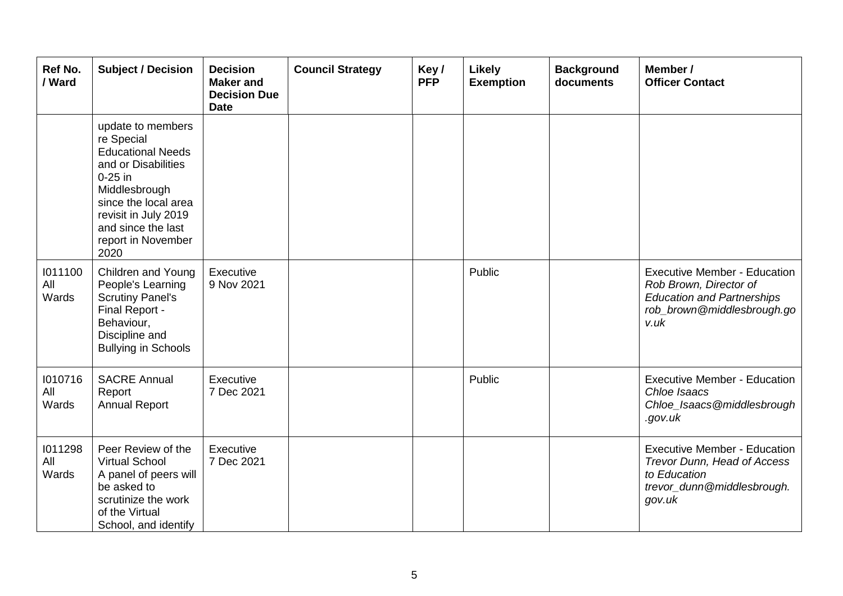| Ref No.<br>/ Ward       | <b>Subject / Decision</b>                                                                                                                                                                                            | <b>Decision</b><br><b>Maker</b> and<br><b>Decision Due</b><br><b>Date</b> | <b>Council Strategy</b> | Key/<br><b>PFP</b> | Likely<br><b>Exemption</b> | <b>Background</b><br>documents | Member /<br><b>Officer Contact</b>                                                                                                       |
|-------------------------|----------------------------------------------------------------------------------------------------------------------------------------------------------------------------------------------------------------------|---------------------------------------------------------------------------|-------------------------|--------------------|----------------------------|--------------------------------|------------------------------------------------------------------------------------------------------------------------------------------|
|                         | update to members<br>re Special<br><b>Educational Needs</b><br>and or Disabilities<br>$0-25$ in<br>Middlesbrough<br>since the local area<br>revisit in July 2019<br>and since the last<br>report in November<br>2020 |                                                                           |                         |                    |                            |                                |                                                                                                                                          |
| 1011100<br>All<br>Wards | <b>Children and Young</b><br>People's Learning<br><b>Scrutiny Panel's</b><br>Final Report -<br>Behaviour,<br>Discipline and<br><b>Bullying in Schools</b>                                                            | Executive<br>9 Nov 2021                                                   |                         |                    | Public                     |                                | <b>Executive Member - Education</b><br>Rob Brown, Director of<br><b>Education and Partnerships</b><br>rob_brown@middlesbrough.go<br>v.uk |
| 1010716<br>All<br>Wards | <b>SACRE Annual</b><br>Report<br><b>Annual Report</b>                                                                                                                                                                | Executive<br>7 Dec 2021                                                   |                         |                    | Public                     |                                | <b>Executive Member - Education</b><br>Chloe Isaacs<br>Chloe_Isaacs@middlesbrough<br>.gov.uk                                             |
| 1011298<br>All<br>Wards | Peer Review of the<br><b>Virtual School</b><br>A panel of peers will<br>be asked to<br>scrutinize the work<br>of the Virtual<br>School, and identify                                                                 | Executive<br>7 Dec 2021                                                   |                         |                    |                            |                                | <b>Executive Member - Education</b><br>Trevor Dunn, Head of Access<br>to Education<br>trevor_dunn@middlesbrough.<br>gov.uk               |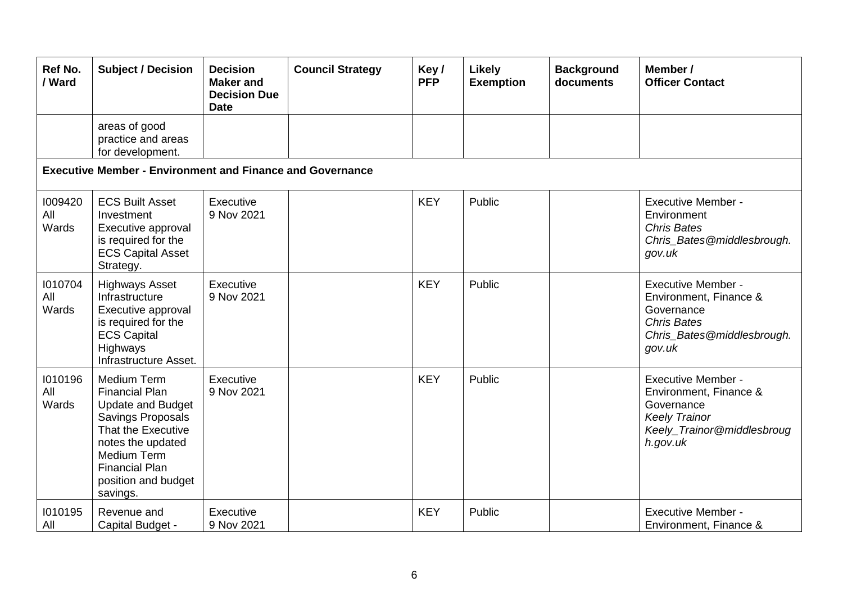| <b>Ref No.</b><br>/ Ward | <b>Subject / Decision</b>                                                                                                                                                                                          | <b>Decision</b><br><b>Maker</b> and<br><b>Decision Due</b><br><b>Date</b> | <b>Council Strategy</b> | Key/<br><b>PFP</b> | Likely<br><b>Exemption</b> | <b>Background</b><br>documents | Member /<br><b>Officer Contact</b>                                                                                                  |
|--------------------------|--------------------------------------------------------------------------------------------------------------------------------------------------------------------------------------------------------------------|---------------------------------------------------------------------------|-------------------------|--------------------|----------------------------|--------------------------------|-------------------------------------------------------------------------------------------------------------------------------------|
|                          | areas of good<br>practice and areas<br>for development.                                                                                                                                                            |                                                                           |                         |                    |                            |                                |                                                                                                                                     |
|                          | <b>Executive Member - Environment and Finance and Governance</b>                                                                                                                                                   |                                                                           |                         |                    |                            |                                |                                                                                                                                     |
| 1009420<br>All<br>Wards  | <b>ECS Built Asset</b><br>Investment<br>Executive approval<br>is required for the<br><b>ECS Capital Asset</b><br>Strategy.                                                                                         | Executive<br>9 Nov 2021                                                   |                         | <b>KEY</b>         | Public                     |                                | <b>Executive Member -</b><br>Environment<br><b>Chris Bates</b><br>Chris_Bates@middlesbrough.<br>gov.uk                              |
| 1010704<br>All<br>Wards  | <b>Highways Asset</b><br>Infrastructure<br>Executive approval<br>is required for the<br><b>ECS Capital</b><br>Highways<br>Infrastructure Asset.                                                                    | Executive<br>9 Nov 2021                                                   |                         | <b>KEY</b>         | Public                     |                                | <b>Executive Member -</b><br>Environment, Finance &<br>Governance<br><b>Chris Bates</b><br>Chris_Bates@middlesbrough.<br>gov.uk     |
| 1010196<br>All<br>Wards  | Medium Term<br><b>Financial Plan</b><br><b>Update and Budget</b><br>Savings Proposals<br>That the Executive<br>notes the updated<br><b>Medium Term</b><br><b>Financial Plan</b><br>position and budget<br>savings. | Executive<br>9 Nov 2021                                                   |                         | <b>KEY</b>         | Public                     |                                | <b>Executive Member -</b><br>Environment, Finance &<br>Governance<br><b>Keely Trainor</b><br>Keely_Trainor@middlesbroug<br>h.gov.uk |
| 1010195<br>All           | Revenue and<br>Capital Budget -                                                                                                                                                                                    | Executive<br>9 Nov 2021                                                   |                         | <b>KEY</b>         | Public                     |                                | <b>Executive Member -</b><br>Environment, Finance &                                                                                 |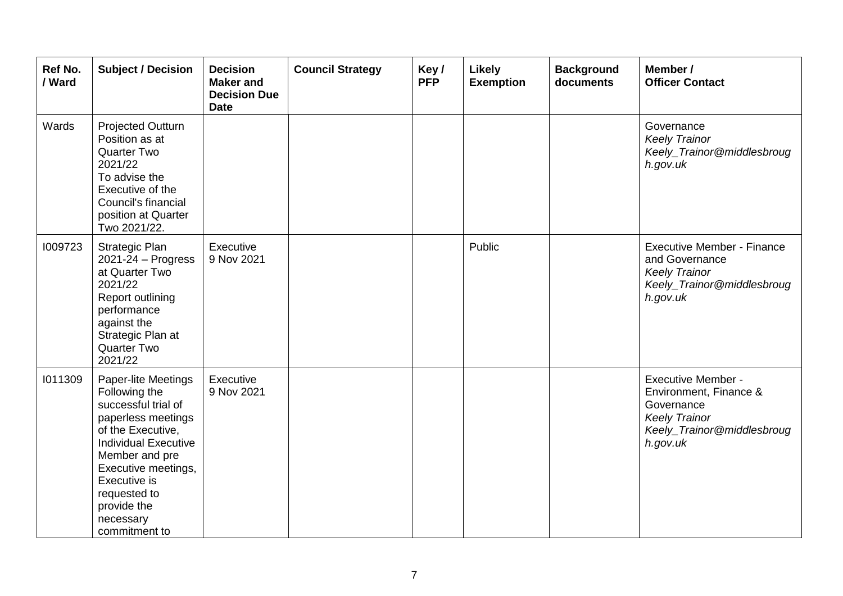| Ref No.<br>/ Ward | <b>Subject / Decision</b>                                                                                                                                                                                                                                   | <b>Decision</b><br><b>Maker</b> and<br><b>Decision Due</b><br><b>Date</b> | <b>Council Strategy</b> | Key/<br><b>PFP</b> | Likely<br><b>Exemption</b> | <b>Background</b><br>documents | Member /<br><b>Officer Contact</b>                                                                                                  |
|-------------------|-------------------------------------------------------------------------------------------------------------------------------------------------------------------------------------------------------------------------------------------------------------|---------------------------------------------------------------------------|-------------------------|--------------------|----------------------------|--------------------------------|-------------------------------------------------------------------------------------------------------------------------------------|
| Wards             | Projected Outturn<br>Position as at<br><b>Quarter Two</b><br>2021/22<br>To advise the<br>Executive of the<br>Council's financial<br>position at Quarter<br>Two 2021/22.                                                                                     |                                                                           |                         |                    |                            |                                | Governance<br><b>Keely Trainor</b><br>Keely_Trainor@middlesbroug<br>h.gov.uk                                                        |
| 1009723           | <b>Strategic Plan</b><br>$2021 - 24 - Progress$<br>at Quarter Two<br>2021/22<br>Report outlining<br>performance<br>against the<br>Strategic Plan at<br><b>Quarter Two</b><br>2021/22                                                                        | Executive<br>9 Nov 2021                                                   |                         |                    | Public                     |                                | <b>Executive Member - Finance</b><br>and Governance<br><b>Keely Trainor</b><br>Keely_Trainor@middlesbroug<br>h.gov.uk               |
| 1011309           | Paper-lite Meetings<br>Following the<br>successful trial of<br>paperless meetings<br>of the Executive,<br><b>Individual Executive</b><br>Member and pre<br>Executive meetings,<br>Executive is<br>requested to<br>provide the<br>necessary<br>commitment to | Executive<br>9 Nov 2021                                                   |                         |                    |                            |                                | <b>Executive Member -</b><br>Environment, Finance &<br>Governance<br><b>Keely Trainor</b><br>Keely_Trainor@middlesbroug<br>h.gov.uk |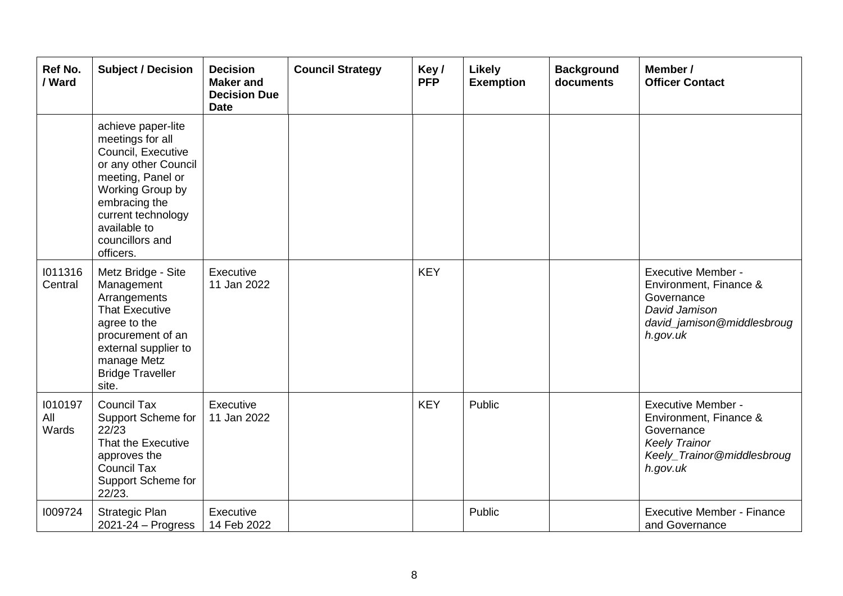| Ref No.<br>/ Ward       | <b>Subject / Decision</b>                                                                                                                                                                                            | <b>Decision</b><br><b>Maker</b> and<br><b>Decision Due</b><br><b>Date</b> | <b>Council Strategy</b> | Key/<br><b>PFP</b> | Likely<br><b>Exemption</b> | <b>Background</b><br>documents | Member /<br><b>Officer Contact</b>                                                                                                  |
|-------------------------|----------------------------------------------------------------------------------------------------------------------------------------------------------------------------------------------------------------------|---------------------------------------------------------------------------|-------------------------|--------------------|----------------------------|--------------------------------|-------------------------------------------------------------------------------------------------------------------------------------|
|                         | achieve paper-lite<br>meetings for all<br>Council, Executive<br>or any other Council<br>meeting, Panel or<br>Working Group by<br>embracing the<br>current technology<br>available to<br>councillors and<br>officers. |                                                                           |                         |                    |                            |                                |                                                                                                                                     |
| 1011316<br>Central      | Metz Bridge - Site<br>Management<br>Arrangements<br><b>That Executive</b><br>agree to the<br>procurement of an<br>external supplier to<br>manage Metz<br><b>Bridge Traveller</b><br>site.                            | Executive<br>11 Jan 2022                                                  |                         | <b>KEY</b>         |                            |                                | <b>Executive Member -</b><br>Environment, Finance &<br>Governance<br>David Jamison<br>david_jamison@middlesbroug<br>h.gov.uk        |
| 1010197<br>All<br>Wards | <b>Council Tax</b><br>Support Scheme for<br>22/23<br>That the Executive<br>approves the<br><b>Council Tax</b><br>Support Scheme for<br>22/23.                                                                        | Executive<br>11 Jan 2022                                                  |                         | <b>KEY</b>         | Public                     |                                | <b>Executive Member -</b><br>Environment, Finance &<br>Governance<br><b>Keely Trainor</b><br>Keely_Trainor@middlesbroug<br>h.gov.uk |
| 1009724                 | Strategic Plan<br>2021-24 - Progress                                                                                                                                                                                 | Executive<br>14 Feb 2022                                                  |                         |                    | Public                     |                                | <b>Executive Member - Finance</b><br>and Governance                                                                                 |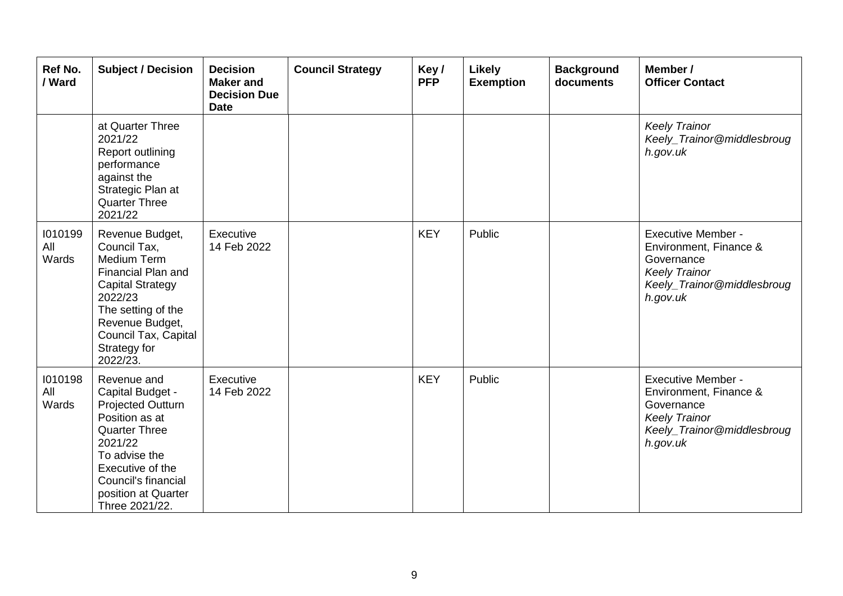| Ref No.<br>/ Ward       | <b>Subject / Decision</b>                                                                                                                                                                                             | <b>Decision</b><br><b>Maker</b> and<br><b>Decision Due</b><br><b>Date</b> | <b>Council Strategy</b> | Key/<br><b>PFP</b> | Likely<br><b>Exemption</b> | <b>Background</b><br>documents | Member /<br><b>Officer Contact</b>                                                                                                  |
|-------------------------|-----------------------------------------------------------------------------------------------------------------------------------------------------------------------------------------------------------------------|---------------------------------------------------------------------------|-------------------------|--------------------|----------------------------|--------------------------------|-------------------------------------------------------------------------------------------------------------------------------------|
|                         | at Quarter Three<br>2021/22<br>Report outlining<br>performance<br>against the<br>Strategic Plan at<br><b>Quarter Three</b><br>2021/22                                                                                 |                                                                           |                         |                    |                            |                                | <b>Keely Trainor</b><br>Keely_Trainor@middlesbroug<br>h.gov.uk                                                                      |
| 1010199<br>All<br>Wards | Revenue Budget,<br>Council Tax,<br>Medium Term<br>Financial Plan and<br><b>Capital Strategy</b><br>2022/23<br>The setting of the<br>Revenue Budget,<br>Council Tax, Capital<br>Strategy for<br>2022/23.               | Executive<br>14 Feb 2022                                                  |                         | <b>KEY</b>         | Public                     |                                | <b>Executive Member -</b><br>Environment, Finance &<br>Governance<br><b>Keely Trainor</b><br>Keely_Trainor@middlesbroug<br>h.gov.uk |
| 1010198<br>All<br>Wards | Revenue and<br>Capital Budget -<br><b>Projected Outturn</b><br>Position as at<br><b>Quarter Three</b><br>2021/22<br>To advise the<br>Executive of the<br>Council's financial<br>position at Quarter<br>Three 2021/22. | Executive<br>14 Feb 2022                                                  |                         | <b>KEY</b>         | Public                     |                                | <b>Executive Member -</b><br>Environment, Finance &<br>Governance<br><b>Keely Trainor</b><br>Keely_Trainor@middlesbroug<br>h.gov.uk |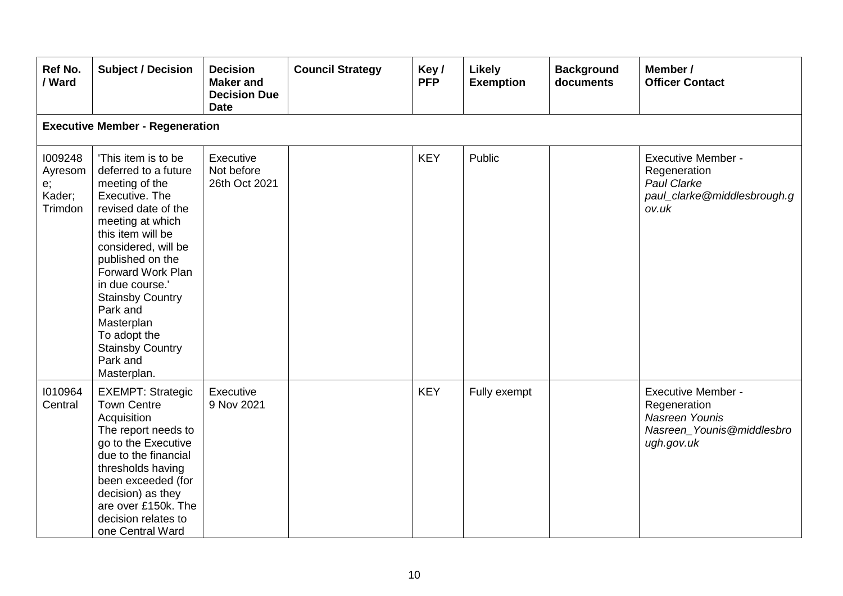| Ref No.<br>/ Ward                             | <b>Subject / Decision</b>                                                                                                                                                                                                                                                                                                                                     | <b>Decision</b><br><b>Maker</b> and<br><b>Decision Due</b><br><b>Date</b> | <b>Council Strategy</b> | Key/<br><b>PFP</b> | Likely<br><b>Exemption</b> | <b>Background</b><br>documents | Member /<br><b>Officer Contact</b>                                                                     |  |  |  |  |
|-----------------------------------------------|---------------------------------------------------------------------------------------------------------------------------------------------------------------------------------------------------------------------------------------------------------------------------------------------------------------------------------------------------------------|---------------------------------------------------------------------------|-------------------------|--------------------|----------------------------|--------------------------------|--------------------------------------------------------------------------------------------------------|--|--|--|--|
|                                               | <b>Executive Member - Regeneration</b>                                                                                                                                                                                                                                                                                                                        |                                                                           |                         |                    |                            |                                |                                                                                                        |  |  |  |  |
| 1009248<br>Ayresom<br>e;<br>Kader;<br>Trimdon | 'This item is to be<br>deferred to a future<br>meeting of the<br>Executive. The<br>revised date of the<br>meeting at which<br>this item will be<br>considered, will be<br>published on the<br>Forward Work Plan<br>in due course.'<br><b>Stainsby Country</b><br>Park and<br>Masterplan<br>To adopt the<br><b>Stainsby Country</b><br>Park and<br>Masterplan. | Executive<br>Not before<br>26th Oct 2021                                  |                         | <b>KEY</b>         | Public                     |                                | <b>Executive Member -</b><br>Regeneration<br>Paul Clarke<br>paul_clarke@middlesbrough.g<br>ov.uk       |  |  |  |  |
| 1010964<br>Central                            | <b>EXEMPT: Strategic</b><br><b>Town Centre</b><br>Acquisition<br>The report needs to<br>go to the Executive<br>due to the financial<br>thresholds having<br>been exceeded (for<br>decision) as they<br>are over £150k. The<br>decision relates to<br>one Central Ward                                                                                         | Executive<br>9 Nov 2021                                                   |                         | <b>KEY</b>         | Fully exempt               |                                | <b>Executive Member -</b><br>Regeneration<br>Nasreen Younis<br>Nasreen_Younis@middlesbro<br>ugh.gov.uk |  |  |  |  |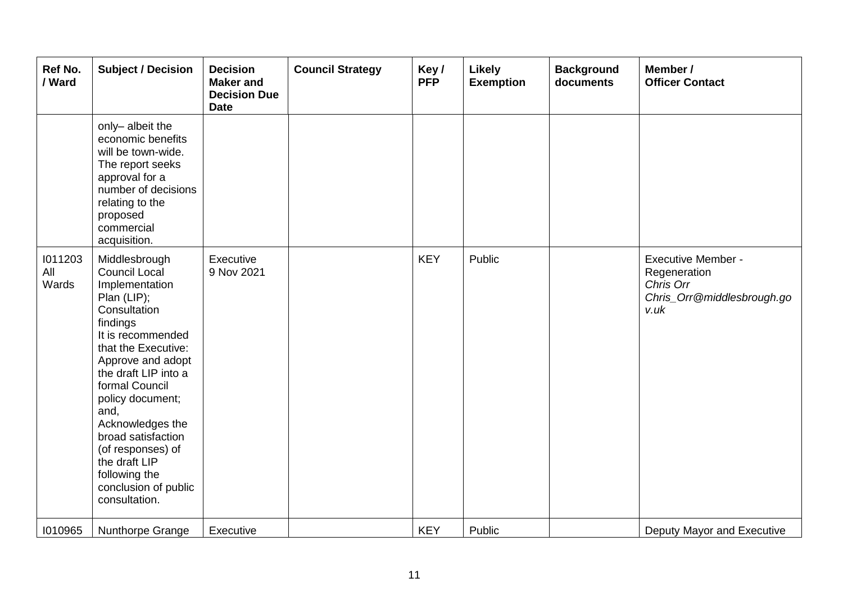| Ref No.<br>/ Ward       | <b>Subject / Decision</b>                                                                                                                                                                                                                                                                                                                                                           | <b>Decision</b><br><b>Maker</b> and<br><b>Decision Due</b><br><b>Date</b> | <b>Council Strategy</b> | Key/<br><b>PFP</b> | Likely<br><b>Exemption</b> | <b>Background</b><br>documents | Member /<br><b>Officer Contact</b>                                                           |
|-------------------------|-------------------------------------------------------------------------------------------------------------------------------------------------------------------------------------------------------------------------------------------------------------------------------------------------------------------------------------------------------------------------------------|---------------------------------------------------------------------------|-------------------------|--------------------|----------------------------|--------------------------------|----------------------------------------------------------------------------------------------|
|                         | only-albeit the<br>economic benefits<br>will be town-wide.<br>The report seeks<br>approval for a<br>number of decisions<br>relating to the<br>proposed<br>commercial<br>acquisition.                                                                                                                                                                                                |                                                                           |                         |                    |                            |                                |                                                                                              |
| 1011203<br>All<br>Wards | Middlesbrough<br><b>Council Local</b><br>Implementation<br>Plan (LIP);<br>Consultation<br>findings<br>It is recommended<br>that the Executive:<br>Approve and adopt<br>the draft LIP into a<br>formal Council<br>policy document;<br>and,<br>Acknowledges the<br>broad satisfaction<br>(of responses) of<br>the draft LIP<br>following the<br>conclusion of public<br>consultation. | Executive<br>9 Nov 2021                                                   |                         | <b>KEY</b>         | Public                     |                                | <b>Executive Member -</b><br>Regeneration<br>Chris Orr<br>Chris_Orr@middlesbrough.go<br>v.uk |
| 1010965                 | Nunthorpe Grange                                                                                                                                                                                                                                                                                                                                                                    | Executive                                                                 |                         | <b>KEY</b>         | Public                     |                                | Deputy Mayor and Executive                                                                   |